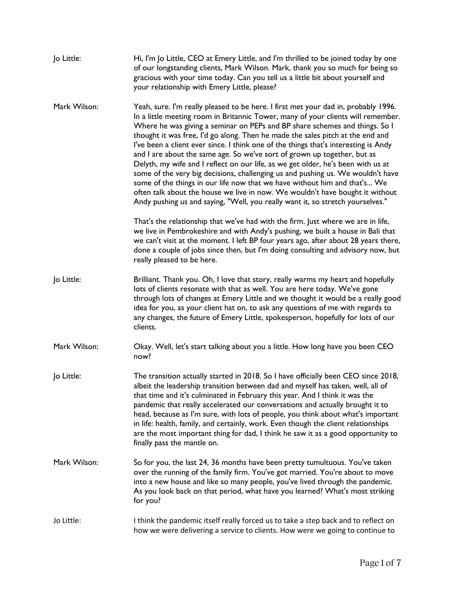| Jo Little:   | Hi, I'm Jo Little, CEO at Emery Little, and I'm thrilled to be joined today by one<br>of our longstanding clients, Mark Wilson. Mark, thank you so much for being so<br>gracious with your time today. Can you tell us a little bit about yourself and<br>your relationship with Emery Little, please?                                                                                                                                                                                                                                                                                                                                                                                                                                                                                                                                                                                                                            |
|--------------|-----------------------------------------------------------------------------------------------------------------------------------------------------------------------------------------------------------------------------------------------------------------------------------------------------------------------------------------------------------------------------------------------------------------------------------------------------------------------------------------------------------------------------------------------------------------------------------------------------------------------------------------------------------------------------------------------------------------------------------------------------------------------------------------------------------------------------------------------------------------------------------------------------------------------------------|
| Mark Wilson: | Yeah, sure. I'm really pleased to be here. I first met your dad in, probably 1996.<br>In a little meeting room in Britannic Tower, many of your clients will remember.<br>Where he was giving a seminar on PEPs and BP share schemes and things. So I<br>thought it was free, I'd go along. Then he made the sales pitch at the end and<br>I've been a client ever since. I think one of the things that's interesting is Andy<br>and I are about the same age. So we've sort of grown up together, but as<br>Delyth, my wife and I reflect on our life, as we get older, he's been with us at<br>some of the very big decisions, challenging us and pushing us. We wouldn't have<br>some of the things in our life now that we have without him and that's We<br>often talk about the house we live in now. We wouldn't have bought it without<br>Andy pushing us and saying, "Well, you really want it, so stretch yourselves." |
|              | That's the relationship that we've had with the firm. Just where we are in life,<br>we live in Pembrokeshire and with Andy's pushing, we built a house in Bali that<br>we can't visit at the moment. I left BP four years ago, after about 28 years there,<br>done a couple of jobs since then, but I'm doing consulting and advisory now, but<br>really pleased to be here.                                                                                                                                                                                                                                                                                                                                                                                                                                                                                                                                                      |
| Jo Little:   | Brilliant. Thank you. Oh, I love that story, really warms my heart and hopefully<br>lots of clients resonate with that as well. You are here today. We've gone<br>through lots of changes at Emery Little and we thought it would be a really good<br>idea for you, as your client hat on, to ask any questions of me with regards to<br>any changes, the future of Emery Little, spokesperson, hopefully for lots of our<br>clients.                                                                                                                                                                                                                                                                                                                                                                                                                                                                                             |
| Mark Wilson: | Okay. Well, let's start talking about you a little. How long have you been CEO<br>now?                                                                                                                                                                                                                                                                                                                                                                                                                                                                                                                                                                                                                                                                                                                                                                                                                                            |
| Jo Little:   | The transition actually started in 2018. So I have officially been CEO since 2018,<br>albeit the leadership transition between dad and myself has taken, well, all of<br>that time and it's culminated in February this year. And I think it was the<br>pandemic that really accelerated our conversations and actually brought it to<br>head, because as I'm sure, with lots of people, you think about what's important<br>in life: health, family, and certainly, work. Even though the client relationships<br>are the most important thing for dad, I think he saw it as a good opportunity to<br>finally pass the mantle on.                                                                                                                                                                                                                                                                                                |
| Mark Wilson: | So for you, the last 24, 36 months have been pretty tumultuous. You've taken<br>over the running of the family firm. You've got married. You're about to move<br>into a new house and like so many people, you've lived through the pandemic.<br>As you look back on that period, what have you learned? What's most striking<br>for you?                                                                                                                                                                                                                                                                                                                                                                                                                                                                                                                                                                                         |
| Jo Little:   | I think the pandemic itself really forced us to take a step back and to reflect on<br>how we were delivering a service to clients. How were we going to continue to                                                                                                                                                                                                                                                                                                                                                                                                                                                                                                                                                                                                                                                                                                                                                               |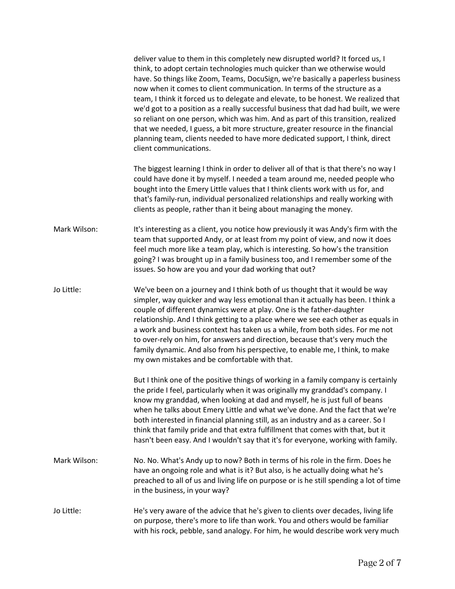|              | deliver value to them in this completely new disrupted world? It forced us, I<br>think, to adopt certain technologies much quicker than we otherwise would<br>have. So things like Zoom, Teams, DocuSign, we're basically a paperless business<br>now when it comes to client communication. In terms of the structure as a<br>team, I think it forced us to delegate and elevate, to be honest. We realized that<br>we'd got to a position as a really successful business that dad had built, we were<br>so reliant on one person, which was him. And as part of this transition, realized<br>that we needed, I guess, a bit more structure, greater resource in the financial<br>planning team, clients needed to have more dedicated support, I think, direct<br>client communications. |
|--------------|---------------------------------------------------------------------------------------------------------------------------------------------------------------------------------------------------------------------------------------------------------------------------------------------------------------------------------------------------------------------------------------------------------------------------------------------------------------------------------------------------------------------------------------------------------------------------------------------------------------------------------------------------------------------------------------------------------------------------------------------------------------------------------------------|
|              | The biggest learning I think in order to deliver all of that is that there's no way I<br>could have done it by myself. I needed a team around me, needed people who<br>bought into the Emery Little values that I think clients work with us for, and<br>that's family-run, individual personalized relationships and really working with<br>clients as people, rather than it being about managing the money.                                                                                                                                                                                                                                                                                                                                                                              |
| Mark Wilson: | It's interesting as a client, you notice how previously it was Andy's firm with the<br>team that supported Andy, or at least from my point of view, and now it does<br>feel much more like a team play, which is interesting. So how's the transition<br>going? I was brought up in a family business too, and I remember some of the<br>issues. So how are you and your dad working that out?                                                                                                                                                                                                                                                                                                                                                                                              |
| Jo Little:   | We've been on a journey and I think both of us thought that it would be way<br>simpler, way quicker and way less emotional than it actually has been. I think a<br>couple of different dynamics were at play. One is the father-daughter<br>relationship. And I think getting to a place where we see each other as equals in<br>a work and business context has taken us a while, from both sides. For me not<br>to over-rely on him, for answers and direction, because that's very much the<br>family dynamic. And also from his perspective, to enable me, I think, to make<br>my own mistakes and be comfortable with that.                                                                                                                                                            |
|              | But I think one of the positive things of working in a family company is certainly<br>the pride I feel, particularly when it was originally my granddad's company. I<br>know my granddad, when looking at dad and myself, he is just full of beans<br>when he talks about Emery Little and what we've done. And the fact that we're<br>both interested in financial planning still, as an industry and as a career. So I<br>think that family pride and that extra fulfillment that comes with that, but it<br>hasn't been easy. And I wouldn't say that it's for everyone, working with family.                                                                                                                                                                                            |
| Mark Wilson: | No. No. What's Andy up to now? Both in terms of his role in the firm. Does he<br>have an ongoing role and what is it? But also, is he actually doing what he's<br>preached to all of us and living life on purpose or is he still spending a lot of time<br>in the business, in your way?                                                                                                                                                                                                                                                                                                                                                                                                                                                                                                   |
| Jo Little:   | He's very aware of the advice that he's given to clients over decades, living life<br>on purpose, there's more to life than work. You and others would be familiar<br>with his rock, pebble, sand analogy. For him, he would describe work very much                                                                                                                                                                                                                                                                                                                                                                                                                                                                                                                                        |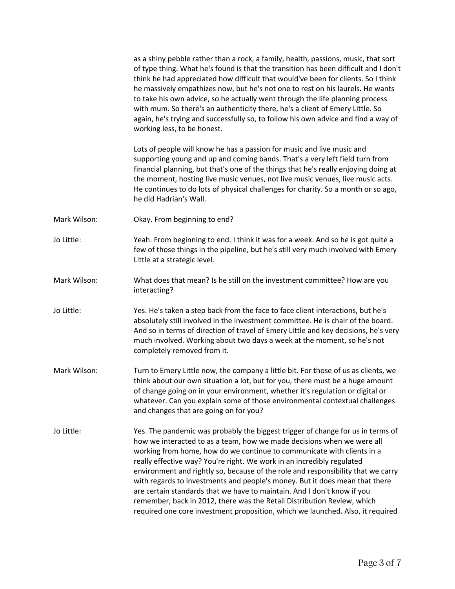|              | as a shiny pebble rather than a rock, a family, health, passions, music, that sort<br>of type thing. What he's found is that the transition has been difficult and I don't<br>think he had appreciated how difficult that would've been for clients. So I think<br>he massively empathizes now, but he's not one to rest on his laurels. He wants<br>to take his own advice, so he actually went through the life planning process<br>with mum. So there's an authenticity there, he's a client of Emery Little. So<br>again, he's trying and successfully so, to follow his own advice and find a way of<br>working less, to be honest.                                                                                 |
|--------------|--------------------------------------------------------------------------------------------------------------------------------------------------------------------------------------------------------------------------------------------------------------------------------------------------------------------------------------------------------------------------------------------------------------------------------------------------------------------------------------------------------------------------------------------------------------------------------------------------------------------------------------------------------------------------------------------------------------------------|
|              | Lots of people will know he has a passion for music and live music and<br>supporting young and up and coming bands. That's a very left field turn from<br>financial planning, but that's one of the things that he's really enjoying doing at<br>the moment, hosting live music venues, not live music venues, live music acts.<br>He continues to do lots of physical challenges for charity. So a month or so ago,<br>he did Hadrian's Wall.                                                                                                                                                                                                                                                                           |
| Mark Wilson: | Okay. From beginning to end?                                                                                                                                                                                                                                                                                                                                                                                                                                                                                                                                                                                                                                                                                             |
| Jo Little:   | Yeah. From beginning to end. I think it was for a week. And so he is got quite a<br>few of those things in the pipeline, but he's still very much involved with Emery<br>Little at a strategic level.                                                                                                                                                                                                                                                                                                                                                                                                                                                                                                                    |
| Mark Wilson: | What does that mean? Is he still on the investment committee? How are you<br>interacting?                                                                                                                                                                                                                                                                                                                                                                                                                                                                                                                                                                                                                                |
| Jo Little:   | Yes. He's taken a step back from the face to face client interactions, but he's<br>absolutely still involved in the investment committee. He is chair of the board.<br>And so in terms of direction of travel of Emery Little and key decisions, he's very<br>much involved. Working about two days a week at the moment, so he's not<br>completely removed from it.                                                                                                                                                                                                                                                                                                                                                     |
| Mark Wilson: | Turn to Emery Little now, the company a little bit. For those of us as clients, we<br>think about our own situation a lot, but for you, there must be a huge amount<br>of change going on in your environment, whether it's regulation or digital or<br>whatever. Can you explain some of those environmental contextual challenges<br>and changes that are going on for you?                                                                                                                                                                                                                                                                                                                                            |
| Jo Little:   | Yes. The pandemic was probably the biggest trigger of change for us in terms of<br>how we interacted to as a team, how we made decisions when we were all<br>working from home, how do we continue to communicate with clients in a<br>really effective way? You're right. We work in an incredibly regulated<br>environment and rightly so, because of the role and responsibility that we carry<br>with regards to investments and people's money. But it does mean that there<br>are certain standards that we have to maintain. And I don't know if you<br>remember, back in 2012, there was the Retail Distribution Review, which<br>required one core investment proposition, which we launched. Also, it required |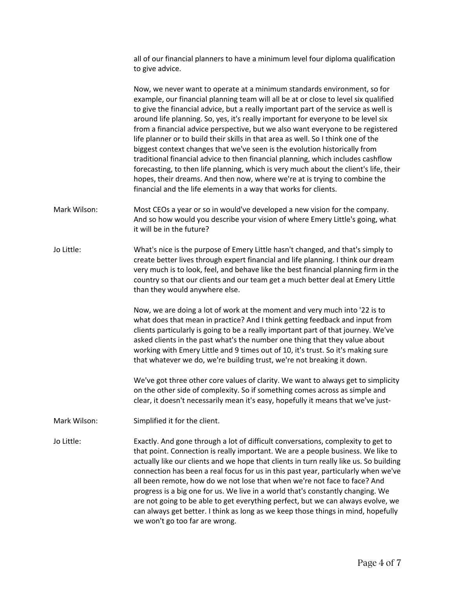all of our financial planners to have a minimum level four diploma qualification to give advice.

Now, we never want to operate at a minimum standards environment, so for example, our financial planning team will all be at or close to level six qualified to give the financial advice, but a really important part of the service as well is around life planning. So, yes, it's really important for everyone to be level six from a financial advice perspective, but we also want everyone to be registered life planner or to build their skills in that area as well. So I think one of the biggest context changes that we've seen is the evolution historically from traditional financial advice to then financial planning, which includes cashflow forecasting, to then life planning, which is very much about the client's life, their hopes, their dreams. And then now, where we're at is trying to combine the financial and the life elements in a way that works for clients.

- Mark Wilson: Most CEOs a year or so in would've developed a new vision for the company. And so how would you describe your vision of where Emery Little's going, what it will be in the future?
- Jo Little: What's nice is the purpose of Emery Little hasn't changed, and that's simply to create better lives through expert financial and life planning. I think our dream very much is to look, feel, and behave like the best financial planning firm in the country so that our clients and our team get a much better deal at Emery Little than they would anywhere else.

Now, we are doing a lot of work at the moment and very much into '22 is to what does that mean in practice? And I think getting feedback and input from clients particularly is going to be a really important part of that journey. We've asked clients in the past what's the number one thing that they value about working with Emery Little and 9 times out of 10, it's trust. So it's making sure that whatever we do, we're building trust, we're not breaking it down.

We've got three other core values of clarity. We want to always get to simplicity on the other side of complexity. So if something comes across as simple and clear, it doesn't necessarily mean it's easy, hopefully it means that we've just-

Mark Wilson: Simplified it for the client.

Jo Little: Exactly. And gone through a lot of difficult conversations, complexity to get to that point. Connection is really important. We are a people business. We like to actually like our clients and we hope that clients in turn really like us. So building connection has been a real focus for us in this past year, particularly when we've all been remote, how do we not lose that when we're not face to face? And progress is a big one for us. We live in a world that's constantly changing. We are not going to be able to get everything perfect, but we can always evolve, we can always get better. I think as long as we keep those things in mind, hopefully we won't go too far are wrong.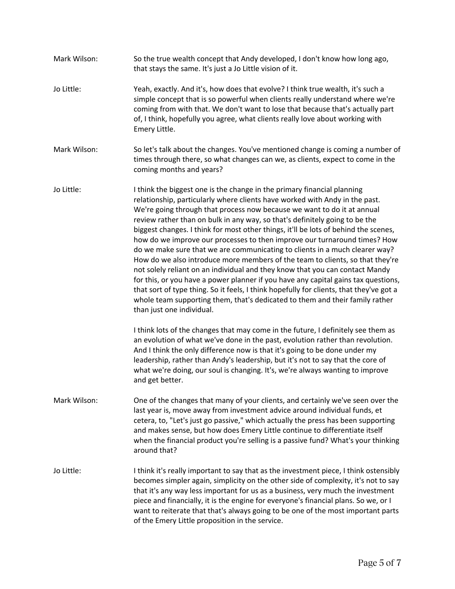Mark Wilson: So the true wealth concept that Andy developed, I don't know how long ago, that stays the same. It's just a Jo Little vision of it. Jo Little: Yeah, exactly. And it's, how does that evolve? I think true wealth, it's such a simple concept that is so powerful when clients really understand where we're coming from with that. We don't want to lose that because that's actually part of, I think, hopefully you agree, what clients really love about working with Emery Little. Mark Wilson: So let's talk about the changes. You've mentioned change is coming a number of times through there, so what changes can we, as clients, expect to come in the coming months and years? Jo Little: I think the biggest one is the change in the primary financial planning relationship, particularly where clients have worked with Andy in the past. We're going through that process now because we want to do it at annual review rather than on bulk in any way, so that's definitely going to be the biggest changes. I think for most other things, it'll be lots of behind the scenes, how do we improve our processes to then improve our turnaround times? How do we make sure that we are communicating to clients in a much clearer way? How do we also introduce more members of the team to clients, so that they're not solely reliant on an individual and they know that you can contact Mandy for this, or you have a power planner if you have any capital gains tax questions, that sort of type thing. So it feels, I think hopefully for clients, that they've got a whole team supporting them, that's dedicated to them and their family rather than just one individual. I think lots of the changes that may come in the future, I definitely see them as an evolution of what we've done in the past, evolution rather than revolution. And I think the only difference now is that it's going to be done under my leadership, rather than Andy's leadership, but it's not to say that the core of what we're doing, our soul is changing. It's, we're always wanting to improve and get better. Mark Wilson: One of the changes that many of your clients, and certainly we've seen over the last year is, move away from investment advice around individual funds, et cetera, to, "Let's just go passive," which actually the press has been supporting and makes sense, but how does Emery Little continue to differentiate itself when the financial product you're selling is a passive fund? What's your thinking around that? Jo Little: I think it's really important to say that as the investment piece, I think ostensibly becomes simpler again, simplicity on the other side of complexity, it's not to say that it's any way less important for us as a business, very much the investment piece and financially, it is the engine for everyone's financial plans. So we, or I want to reiterate that that's always going to be one of the most important parts of the Emery Little proposition in the service.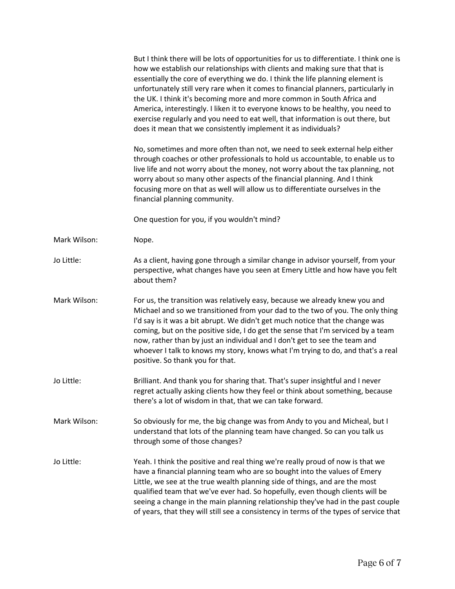|              | But I think there will be lots of opportunities for us to differentiate. I think one is<br>how we establish our relationships with clients and making sure that that is<br>essentially the core of everything we do. I think the life planning element is<br>unfortunately still very rare when it comes to financial planners, particularly in<br>the UK. I think it's becoming more and more common in South Africa and<br>America, interestingly. I liken it to everyone knows to be healthy, you need to<br>exercise regularly and you need to eat well, that information is out there, but<br>does it mean that we consistently implement it as individuals? |
|--------------|-------------------------------------------------------------------------------------------------------------------------------------------------------------------------------------------------------------------------------------------------------------------------------------------------------------------------------------------------------------------------------------------------------------------------------------------------------------------------------------------------------------------------------------------------------------------------------------------------------------------------------------------------------------------|
|              | No, sometimes and more often than not, we need to seek external help either<br>through coaches or other professionals to hold us accountable, to enable us to<br>live life and not worry about the money, not worry about the tax planning, not<br>worry about so many other aspects of the financial planning. And I think<br>focusing more on that as well will allow us to differentiate ourselves in the<br>financial planning community.                                                                                                                                                                                                                     |
|              | One question for you, if you wouldn't mind?                                                                                                                                                                                                                                                                                                                                                                                                                                                                                                                                                                                                                       |
| Mark Wilson: | Nope.                                                                                                                                                                                                                                                                                                                                                                                                                                                                                                                                                                                                                                                             |
| Jo Little:   | As a client, having gone through a similar change in advisor yourself, from your<br>perspective, what changes have you seen at Emery Little and how have you felt<br>about them?                                                                                                                                                                                                                                                                                                                                                                                                                                                                                  |
| Mark Wilson: | For us, the transition was relatively easy, because we already knew you and<br>Michael and so we transitioned from your dad to the two of you. The only thing<br>I'd say is it was a bit abrupt. We didn't get much notice that the change was<br>coming, but on the positive side, I do get the sense that I'm serviced by a team<br>now, rather than by just an individual and I don't get to see the team and<br>whoever I talk to knows my story, knows what I'm trying to do, and that's a real<br>positive. So thank you for that.                                                                                                                          |
| Jo Little:   | Brilliant. And thank you for sharing that. That's super insightful and I never<br>regret actually asking clients how they feel or think about something, because<br>there's a lot of wisdom in that, that we can take forward.                                                                                                                                                                                                                                                                                                                                                                                                                                    |
| Mark Wilson: | So obviously for me, the big change was from Andy to you and Micheal, but I<br>understand that lots of the planning team have changed. So can you talk us<br>through some of those changes?                                                                                                                                                                                                                                                                                                                                                                                                                                                                       |
| Jo Little:   | Yeah. I think the positive and real thing we're really proud of now is that we<br>have a financial planning team who are so bought into the values of Emery<br>Little, we see at the true wealth planning side of things, and are the most<br>qualified team that we've ever had. So hopefully, even though clients will be<br>seeing a change in the main planning relationship they've had in the past couple<br>of years, that they will still see a consistency in terms of the types of service that                                                                                                                                                         |